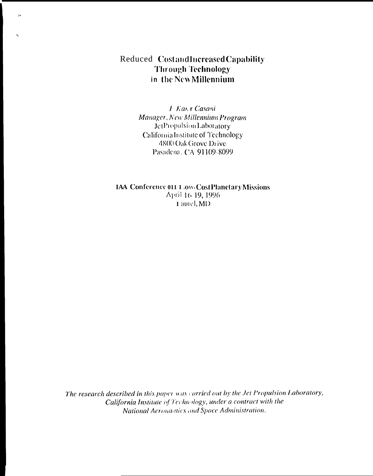# Reduced CostandIncreasedCapability **Through Technology** in the New Millennium

 $\mathcal{L}_{\mathbf{A}}$ 

 $\epsilon_{\rm k}$ 

L. Kan't Casani Manager, New Millennium Program JetPropulsion Laboratory California Institute of Technology 4800 Oak Grove Drive Pasadena, CA 91109-8099

**IAA** Conference 011 Low-Cost Planetary Missions April 16 19, 1996 I amel, MD

The research described in this paper was carried out by the Jet Propulsion Laboratory, California Institute of Technology, under a contract with the National Aeronautics and Space Administration.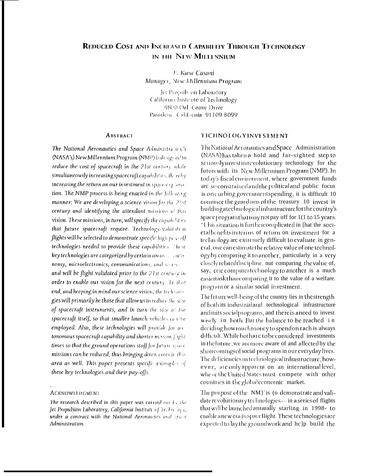# **REDUCED COST AND INCREASED CAPABILITY THROUGH TECHNOLOGY** IN THE NEW MILLENNIUM

E. Kane Casani Manager, New Millennium Program

Jet Propuls on Laboratory California Institute of Technology 4800 Oal. Grove Drive Pasadena, California, 91109-8099

#### **ABSTRACT**

The National Aeronautics and Space Administration's (NASA's) New Millennium Program (NMP) is designed to reduce the cost of spacecraft in the 21st century while simultaneously increasing spacecraft capabilities, thereby increasing the return on our investment in space oxploration. The NMP process is being enacted in the following manner: We are developing a science vision for the 21st century and identifying the attendant missions of this vision. These missions, in turn, will specify the capab.<sup>1</sup>it es that future spacecraft require. Technology-validation flights will be selected to demonstrate specific high  $p_{UV}$ -off technologies needed to provide these capabilities. These key technologies are categorized by certain are as a nationomy, microelectronics, communications, and so corand will be flight validated prior to the 21st century in order to enable our vision for the next century. To that end, and keeping in mind our science vision, the technologies will primarily be those that allow us to reduce the size of spacecraft instruments, and in turn the size of the spacecraft itself, so that smaller launch vehicles can be employed. Also, these technologies will provide for antonomous spacecraft capability and shorter mission flight times so that the ground operations staff for future space missions can be reduced, thus bringing down costs in this area as well. This paper presents specific examples of these key technologies and their pay-offs.

#### **ACKNOWLEDGMENT**

#### **TICHNOLOGYINVESTMENT**

The National Acronautics and Space Administration (NASA) has taken a hold and far-sighted step to scriously invest in revolutionary technology for the future with its New Millennium Program (NMP). In today's fiscal environment, where government funds are so constrained and the political and public focus is on curbing government spending, it is difficult 10 convince the guardians of the treasury 10 invest in buildingatechnologicalinfrastructureforthe.country's space program that may not pay off for 1(1 to 15 years. '1 his situation is further complicated in [hat the societalbenefits in terms of return on investment for a technology are extremely difficult to evaluate, in general, one can estimate the relative value of one technology by comparing it to another, particularly in a very closely related discipline, nut comparing the value of, say, one computer technology to another is a much easiertask than comparing it to the value of a welfare. program or a similar social investment.

The future well-being of the country lies in the strength of both its industrialand technological infrastructure andinits social programs, and there is a need to invest wisely in both. But the balance to be reached in deciding how muchmoney to spend on each is always difficult. While both are to be considered investments in the future, we are more aware of and affected by the shoitcomings of social programs in our everyday lives. The deficiencies in technological infrastructure, however, are only apparent on an international level, where the United States must compete with other countries in the global economic market.

The purpose of the NM}' is (o demonstrate and validate revolutionary technologies-in a series of flights that will be launched annually starling in 1998-to enable anewera in spaceflight. These technologies are expected to lay the groundwork and help build the

The research described in this paper was carried out by the Jet Propulsion Laboratory, California Institute of Technology, under a contract with the National Aeronautics and Space Administration.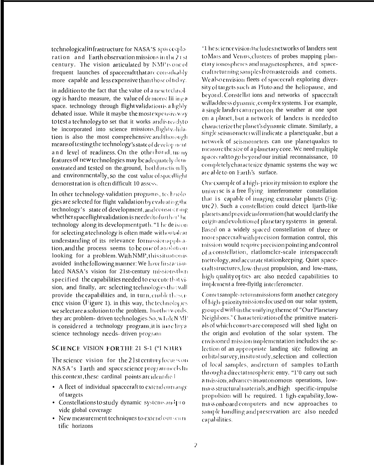technological infrastructure for NASA'S spacecploration and Earth observation missions in the 21st century. The vision articulated by NMP is one of frequent launches of spacecraft that are consideably more capable and less expensive than those of tiday.

in addition to the fact that the value of a new technology is hard to measure, the value of demonst Iii ing a space. technology through flight validation is a lighly debated issue. While it maybe the most expensiveway to test a technology to set that it works and is ready to be incorporated into science missions, flightvalidation is also the most comprehensive and thorough means of testing the technology's state of development and level of readiness. On the otherhand, many features of new technologies may be adequately demonstrated and tested on the ground, bothfunctionally and environmentally, so the cost value of spacillight demonstration is often difficult 10 assess.

In other technology-validation programs, technologies are selected for flight validation by evaluating the technology's state of development, and considering whether spaceflight validation is needed to further the technology along its development path. "I he de ision for selecting atechnology is often made withoutadear understanding of its relevance formission application, and the process seems to be one of a solution looking for a problem. With NMP, this situation is avoided in the following manner: We have first articulated NASA's vision for 21st-century missions then specified the capabilities needed to execute that vision, and finally, are selecting technologics that will provide the capabilities and, in turn, enable the setence vision (Figure 1), in this way, the technologies we select are a solution to the problem. In otherwords, they are problem- driven technologies. So, w Lilk N MP is considered a technology program, it is intelity a science technology needs-driven program

# SCIENCE VISION FOR THE 21 S-1 ("I NJURY

The science vision for the 21st century focus son NASA's Earth and space science programmeels In this context, these cardinal points are identified

- A fleet of individual spacecraft to extend our range of targets
- · Constellations to study dynamic systems and provide global coverage
- $\bullet$  New measurement techniques to extend our scientific horizons

'1 he science visioniticludes networks of landers sent to Mars and Venus, clusters of probes mapping planetary ionospheres and magnetospheres, and spacecraftreturning samples from asteroids and comets. We also envision fleets of spacecraft exploring diversity of targets such as Pluto and the heliopause, and beyond. Constellat ions and networks of spacecraft will address dynamic, complex systems. For example, a single lander can report on the weather at one spot on a planet, but a network of landers is needed to characterize the planet's dynamic climate. Similarly, a single seismometerwill indicate a planetquake, but a network of seismometers can use planetquakes to measure the size of a planetary core. We need multiple spacecraft to go beyond our initial reconnaissance, 10 completely characterize dynamic systems the way we are able to on Earth's surface.

One example of a high-priority mission to explore the universe is a free flying interferometer constellation that is capable of imaging extrasolar planets (Figure 2). Such a constellation could detect ljarth-like planets and provide information (hat would clarify the origin and evolution of planetary systems in general. Based on a widely spaced constellation of three or more spacecraft with precision formation control, this mission would require precision pointing and control of a constellation, rlatlomeler-scale interspacecraft metrology, and accurate stationkeeping. Quiet spacecraft structures, low-thrust propulsion, and low-mass, high-quality optics are also needed capabilities to implement a free-flyitlg interferometer.

Comet sample-returnmissions form another category of high-priority missions focused on our solar system, grouped within the unifying theme of "Our Planetary Neighbors." Characterization of the primitive materials of which comets are composed will shed light on the origin and evolution of the solar system. The envisioned mission implementation includes the selection of an appropriate landing si(c following an orbital survey, in situ study, selection and collection of local samples, and return of samples to Earth through a directatmospheric entry. "1'0 carry out such a mission, advances in autonomous operations, lowmass structural materials, and high specific-irnpulse propulsion will be required. 1 ligh-capability, lowmass onboard computers and new approaches to sample handling and preservation are also needed capabilities.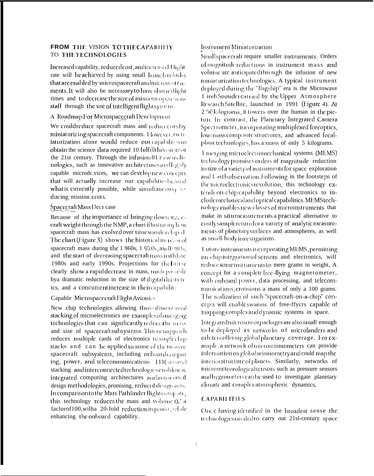## FROM THE VISION TO THE CAPABILITY TO THE TECHNOLOGIES

Increased capability, reduced cost, and increased Hight rate will be achieved by using small launchychichs that are enabled by microspacecraft and micromstruments. It will also be necessary to have shorterflight times and to decrease the size of missions operations staff through the use of intelligent flight systems.

# A Roadmap For MicrospacecraftDevelopment

We couldreduce spacecraft mass and reducecotsby miniaturizing spacecraft components. 1 lowever, runiaturization alone would reduce our capabiliti sto obtain the science data required 10 fulfillthevision tor the 21st century. Through the infusion 01  $r_{\text{FW}}$  (c) IInologies, such as innovative architectures and b gidy capable microde.vices, we can developmew correpts that will actually increase our capabilities beyond what is currently possible, while simultaneous, reducing mission costs.

### SpacecraftMass Dect case

Because of the importance of bringing down s:,:, ccraft weight through the NMP, a chart illustrating how spacecraft mass has evolved over time was developed. The chart (Figure 3) shows the historical increase of spacecraft mass during the 1 960s, 1 970s, and 1980s, and the start of decreasing spacecraltmass in thlate 1980s and early 1990s. Projections for the future clearly show a rapid decrease in mass, made possible bya dramatic reduction in the size of digital electronics, and a concurrent increase in their capability

### Capable Microspacecraft Flight Avionics

New chip technologies allowing three-dimensional stacking of microelectronics are examples of energing technologies that can significantly reduce the nass and size of spacecraft subsystems. This newappoch reduces multiple cards of electronics to single chip stacks and can be applied to some of the massive spacecraft subsystems, including onboardcomput ing, power, and telecommunications 111(senovel stacking and interconnected technologies enablenew integrated computing architectures and automated design methodologies, promising, reduced design-osts. In comparison to the Mars Pathfinder flight compati, this technology reduces the mass and volume t),' a faclorof100, wilha 20-fold reduction in power, while enhancing the onboard capability.

#### Instrument Miniaturization

Small spacecralt require smaller instruments. Orders of magnitude reductions in instrument mass and volume are anticipated through the infusion of new miniaturization technologies. A typical instrument deployed during the "flagship" era is the Microwave 1 imb Sounder carried by the Upper Atmosphere Research Satellite, launched in 1991 (Figure 4). At 2.50 kilogranis, it towers over the human in the picture In contrast, the Planetary Integrated Camera Spect rometer, incorporating multiplexed foreoptics, low-mass composite structures, and advanced focalplanetechnologies, has a mass of only 5 kilograms.

1 merging microelectromechanical systems (MEMS) technology promises orders of magnitude reduction in size of a variety of instruments for space exploration and 1 arth observation. Following in the footsteps of the microelectronics revolution, this technology extends on-chip capability beyond electronics to include mechanical and optical capabilities. MEMStechnology enables new classes of microinstruments that make in situmeasurements a practical alternative to costly sample return for a variety of analytic measurements of planetary surfaces and atmospheres, as well as small-body investigations.

1 uture instruments incorporating MEMS, permitting on-chip integration of sensors and electronics, will reduce some instruments to mere grams in weight, A concept for a complete free-flying magnetometer, with onboard power, data processing, and telecommunications, envisions a mass of only a 100 grams. The realization of such "spacecraft-on-a-chip" concepts will enable swarms of free-ffycrs capable of mapping complex and dynamic systems in space.

Integrated microscnsorpackages are also small enough to be deployed as networks of microlanders and orbiters offering global planetary coverage. For example, a network of microscismometers can provide information on globalseismometry and could map the interior structure of planets. Similarly, networks of micrometeorologicalsensors such as pressure sensors and hygrometers can be used to investigate planetary climate and complex atmospheric dynamics,

## **CAPABILITIES**

One c having identified in the broadest sense the technologies needed to carry out 21sl-century space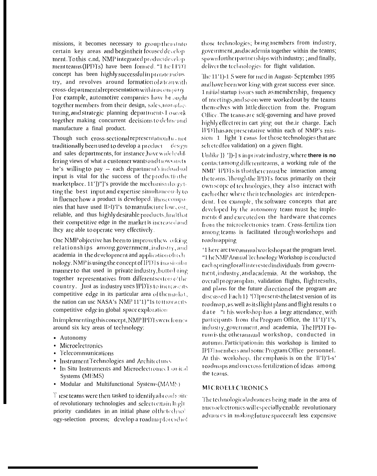missions, it becomes necessary to group them Into certain key areas and begin their focused develop ment. To this c.nd, NMP integrated productdevelop. ment teams (IPDTs) have been formed. "1 he IPDT concept has been highly successful in private indus try, and revolves around formation of a tean with cross-departmental representation within a company For example, automotive companies have be ought together members from their design, sales, manufacturing, and strategic planning departments I own k together making concurrent decisions to define and manufacture a final product.

Though such cross-sectional representation has not traditionally been used to develop a product design and sales departments, for instance, have widely differing views of what a customer wants and trownsucts he's willing to pay -- each department's individual input is vital for the success of the productinthe marketplace. 11'])"]'s provide the mechanism for getting the best input and expertise simultaneously to in fluence how a product is developed. Those companies that have used II>I)'I's to manufacture low cost, reliable, and thus highly desirable products, find that their competitive edge in the market is increased and lhey are able to operate very effectively.

One NMP objective has been to improve thew orking relationships among government, industry, and academia in the development and application of rechnology. NMP is using the concept of IPDTs in a similar manner to that used in private industry, butto bring together representatives from different sectors of the country. Just as industry uses IPDTs to increase its competitive edge in its particular area of themarket, the nation can use NASA's NMP 11'1}"1s tomarcaents competitive edge in global space exploration

Inimplementingthis concept, NMPIPDTs were formed around six key areas of technology:

- Autonomy
- Microelectronics
- Telecommunications
- · Instrument Technologies and Architectures
- In Situ Instruments and Microelectromec1 (anical Systems (MEMS)
- Modular and Multifunctional Systems(MAMS)

These teams were then tasked to identify a broadsuite of revolutionary technologies and select centain Ingli priority candidates in an initial phase of the technol ogy-selection process; develop a roadmap for each of those technologies; bring members from industry, government, and academia together within the teams; spawnfurtherpartnerships with industry; ; and finally, deliver the technologies for flight validation.

The 11'1)-1 S were for med in August-September 1995 and have been wor king with great success ever since. 1 nitial startup issues such as membership, frequency of meetings, and so on were worked out by the teams themselves with little direction from the. Program Office. The teams are sel(-governing and have proved highly effective in eart ying out the ir charge. Each IPDThas are presentative within each of NMP's mission 1 light 1 cams for those technologies that are selected for validation) on a given flight.

Unlike ]} '])-] s inprivate industry, where there is no contact among different teams, a working rule of the NMI' IPDTs is that there must be interaction among the teams. Though the IPDTs focus primarily on their own scope of technologies, they also interact with each other where their technologies are interdependent. For example, the software concepts that are developed by the autonomy team must be implemented and executed on the hardware that comes from the microelectronics team. Cross-fertiliza tion among teams is facilitated through workshops and roadmapping

'1 here are two annual workshops at the program level. "The NMP Annual Technology Workshop is conducted eachspring for all interested individuals from government, industry, and academia. At the workshop, the overall programplan, validation flights, flight results, and plans for the future direction of the program are discussed.Each 1} 'D'Ipresents the latest version of its roadmap, as well as its flight plans and flight results to date "I his workshop has a large attendance, with participants from theProgram Office, the 11'1)'1's, industry, government, and academia, The IPDTF0rum is the other annual workshop, conducted in autumn. Participation in this workshop is limited to IPD Intembers and some Program Office personnel. At this workshop, the emphasis is on the IPD'I-s' roadmaps and on cross-fertilization of ideas among the teams.

## **MICROELECTRONICS**

The technological advances being made in the area of microclectronics will especially enable revolutionary advances in making future spacecraft less expensive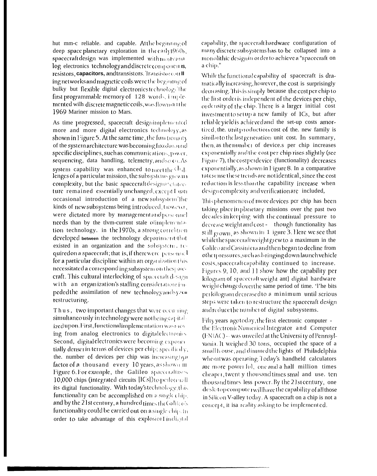hut mm-c reliable, and capable. At the beginning of deep space planetary exploration in the carly [960s, spacecraft design was implemented withmostvana log electronics technology and discrete components, resistors, capacitors, and transistors. Transistor coull ing networks and magnetic coils were the begining of bulky but flexible digital electronics technology the first programmable memory of 128 words, i modemented wilh discrete magnetic coils, was flown drithe 1969 Mariner mission to Mars.

As time progressed, spacecraft designimplemented more and more digital electronics technology, as shown in Figure 5. At the same time, the functionaly of the system architecture was becoming fixed around specific disciplines, such as communications, power, sequencing, data handling, telemetry, and so OLAs system capability was enhanced to meetthe Chal. lenges of a particular mission, the subsystems grewn) complexity, but the basic spacecraftdesignarchitecture remained essentially unchanged, except I han occasional introduction of a new subsystem the kinds of new subsystems being introduced, trowever, were dictated more by management and personnel needs than by the tlym-current stale olimplemants. tion technology. in the 1970s, a strong correlation developed between the technology departments that existed in an organization and the subsystem. Itquired on a spacecraft; that is, if there were personnel for a particular discipline within an organization this necessitated a correspond ing subsystem on the spacecraft. This cultural interlocking of spacecralt design with an organization's staffing considerations impeded the assimilation of new technology and system restructuring.

Thus, two important changes that were occurring simultaneo usly intechnology were not being capitalized upon. First, functional implementation was now ing from analog electronics to digital electronics Second, digital electronics were becoming exponent tially denser in terms of devices per chip; specifically, the, number of devices per chip was increasing  $\mathbf{y}_i$ factor of a thousand every 10 years, as shown III Figure 6.For example, the Galileo spacecraluses 10,000 chips (integrated circuits [ICs]) to performall its digital functionality. With today's technology, this functionality can be accomplished on a single chip. and by the 21st century, a hundred times the Galik  $\alpha$ 's functionality could be carried out on a single chip. In order to take advantage of this explosion I indigital

capability, the spacecraft hardware configuration of many discrete subsystems has to be collapsed into a monolithic designin order to achieve a "spacecraft on a chip."

While the functional capability of spacecraft is dramatically increasing, however, the cost is surprisingly decreasing. This is simply because the cost per chip to the first order is independent of the devices per chip, or density of the chip. There is a larger initial cost investment to set up a new family of ICs, but after reliable yield is achieved and the set-up costs amortized, the, unit production cost of the, new family is similar to the last generation unit cost. In summary, then, as the number of device.s per chip increases exponentially and the cost per chip rises slightly (see Figure 7), the costper device (functionality) decreases exponentially, as shown in Figure 8. In a comparative rate sense these trends are not identical, since the cost reduction is less than the capability increase when design complexity and verification are included,

This phenomenon of more devices per chip has been taking place in planetary missions over the past two decades in keeping with the continual pressure to decrease weight and cost - though functionality has still grown, as shown in 1 igure 3. Here we see that while the spacecraft weight grew to a maximum in the Galileo and Cassiniera and then began to decline from otherpressures, such as bringing down launch vehicle costs, spacecraft capability continued to increase. Figures 9, 10, and 11 show how the capability per kilogram of spacecraftweight ant] digital hardware weightchanged over the same period of time. The bits perkilogram decreased to a minimum until serious steps were taken to restructure the spacecraft design and reduce the number of digital subsystems.

Fifty years agotoday, the first electronic computer the Electronic Numerical Integrator and Computer (ENIAC) -- was unveiled at the University of Pennsylvama. It weighed 30 tons, occupied the space of a small house, and dimmed the lights of Philadelphia when it was operating. Today's handheld calculators are more power ful, one and a half million times cheaper, twent y thousand times smal and use. ten thousand times less power. By the 21st century, one desk-top computer will have the capability of all those in Silicon V-alley today. A spacecraft on a chip is not a concept, it is areality asking to be implemented.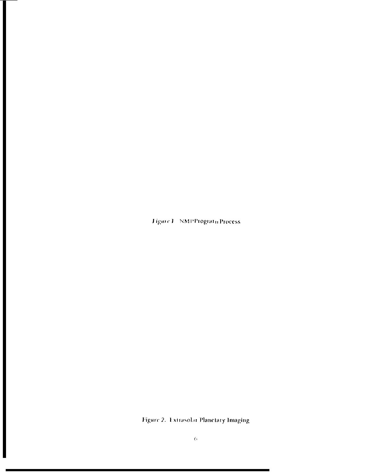Figure 1 NMPProgram Process

Figure 2. Extrasolar Planetary Imaging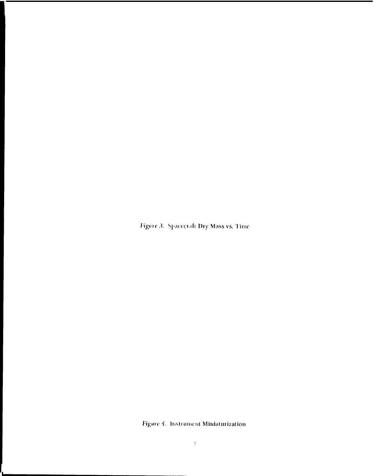Figure 3. Spacecraft Dry Mass vs. Time

Figure 4. Instrument Miniaturization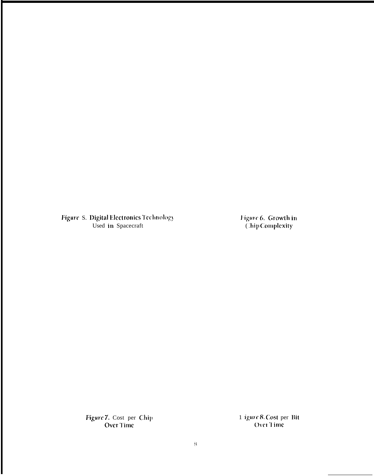Figure S. Digital Electronics Technology<br>Used in Spacecraft

Figure 6. Growth in<br>Chip Complexity

Figure 7. Cost per Chip Over Time

1 igure 8. Cost per Bit<br>Over 1 ime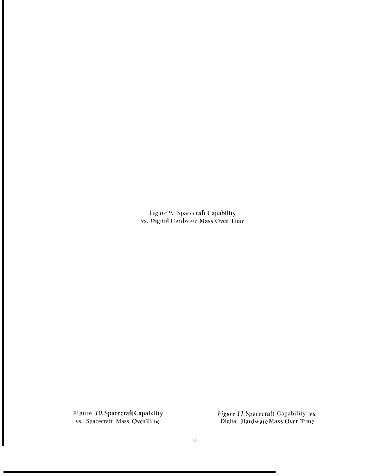Figure 9. Spacecraft Capability<br>vs. Digital Hardware Mass Over Time

Figure 10. Spacecraft Capability<br>vs. Spacecraft Mass OverTime

Figure 11. Spacecraft Capability vs.<br>Digital Hardware Mass Over Time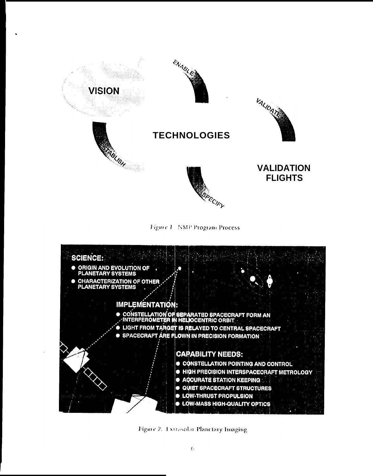

Figure L. NMP Program Process



Figure 2. Extrasolat Planetary Imaging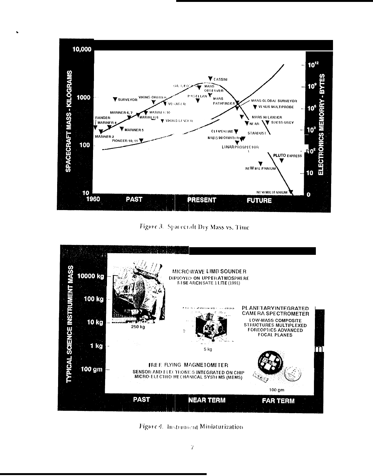

Figure 3. Spacecraft Dry Mass vs. Time



Figure 4. Instrument Miniaturization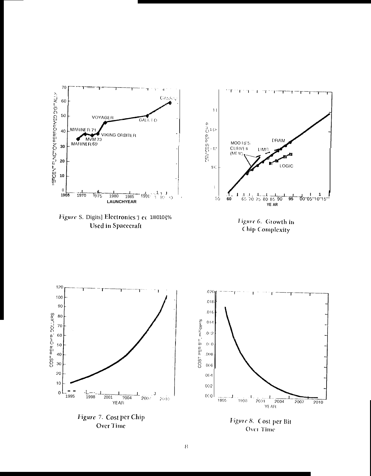